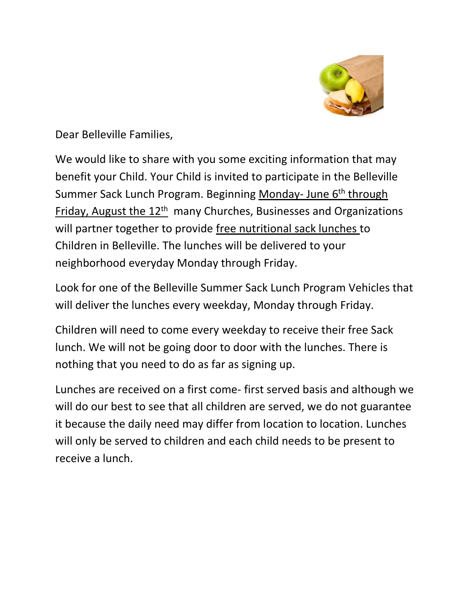

Dear Belleville Families,

We would like to share with you some exciting information that may benefit your Child. Your Child is invited to participate in the Belleville Summer Sack Lunch Program. Beginning Monday- June 6<sup>th</sup> through Friday, August the 12<sup>th</sup> many Churches, Businesses and Organizations will partner together to provide free nutritional sack lunches to Children in Belleville. The lunches will be delivered to your neighborhood everyday Monday through Friday.

Look for one of the Belleville Summer Sack Lunch Program Vehicles that will deliver the lunches every weekday, Monday through Friday.

Children will need to come every weekday to receive their free Sack lunch. We will not be going door to door with the lunches. There is nothing that you need to do as far as signing up.

Lunches are received on a first come- first served basis and although we will do our best to see that all children are served, we do not guarantee it because the daily need may differ from location to location. Lunches will only be served to children and each child needs to be present to receive a lunch.